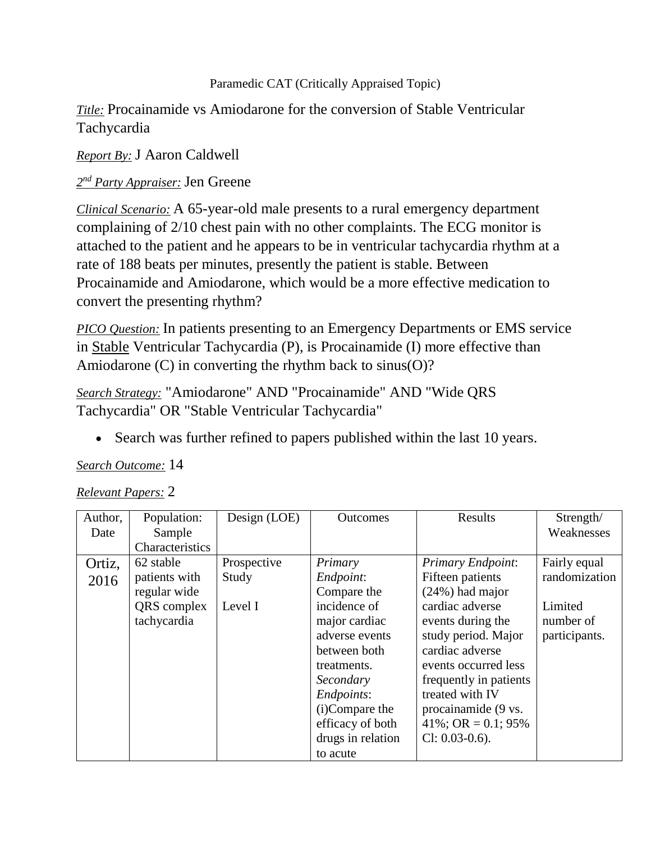#### Paramedic CAT (Critically Appraised Topic)

### *Title:* Procainamide vs Amiodarone for the conversion of Stable Ventricular Tachycardia

*Report By:* J Aaron Caldwell

## *2 nd Party Appraiser:* Jen Greene

*Clinical Scenario:* A 65-year-old male presents to a rural emergency department complaining of 2/10 chest pain with no other complaints. The ECG monitor is attached to the patient and he appears to be in ventricular tachycardia rhythm at a rate of 188 beats per minutes, presently the patient is stable. Between Procainamide and Amiodarone, which would be a more effective medication to convert the presenting rhythm?

*PICO Question:* In patients presenting to an Emergency Departments or EMS service in Stable Ventricular Tachycardia (P), is Procainamide (I) more effective than Amiodarone (C) in converting the rhythm back to sinus(O)?

*Search Strategy:* "Amiodarone" AND "Procainamide" AND "Wide QRS Tachycardia" OR "Stable Ventricular Tachycardia"

Search was further refined to papers published within the last 10 years.

### *Search Outcome:* 14

### *Relevant Papers:* 2

| Author, | Population:            | Design (LOE) | <b>Outcomes</b>   | Results                | Strength/     |
|---------|------------------------|--------------|-------------------|------------------------|---------------|
| Date    | Sample                 |              |                   |                        | Weaknesses    |
|         | <b>Characteristics</b> |              |                   |                        |               |
| Ortiz,  | 62 stable              | Prospective  | Primary           | Primary Endpoint:      | Fairly equal  |
| 2016    | patients with          | Study        | Endpoint:         | Fifteen patients       | randomization |
|         | regular wide           |              | Compare the       | $(24%)$ had major      |               |
|         | QRS complex            | Level I      | incidence of      | cardiac adverse        | Limited       |
|         | tachycardia            |              | major cardiac     | events during the      | number of     |
|         |                        |              | adverse events    | study period. Major    | participants. |
|         |                        |              | between both      | cardiac adverse        |               |
|         |                        |              | treatments.       | events occurred less   |               |
|         |                        |              | Secondary         | frequently in patients |               |
|         |                        |              | Endpoints:        | treated with IV        |               |
|         |                        |              | (i)Compare the    | procainamide (9 vs.    |               |
|         |                        |              | efficacy of both  | $41\%$ ; OR = 0.1; 95% |               |
|         |                        |              | drugs in relation | $Cl: 0.03-0.6$ ).      |               |
|         |                        |              | to acute          |                        |               |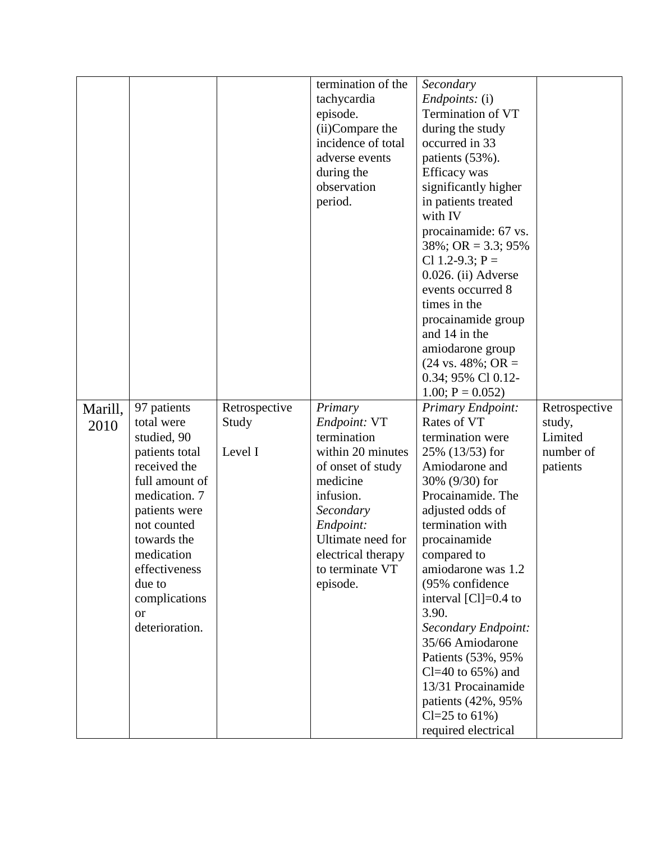|                 |                                                                                                                                                                                                                                                       |                                   | termination of the<br>tachycardia<br>episode.<br>(ii)Compare the<br>incidence of total<br>adverse events<br>during the<br>observation<br>period.                                                              | Secondary<br><i>Endpoints:</i> (i)<br>Termination of VT<br>during the study<br>occurred in 33<br>patients (53%).<br>Efficacy was<br>significantly higher<br>in patients treated<br>with IV<br>procainamide: 67 vs.<br>$38\%$ ; OR = 3.3; 95%<br>Cl 1.2-9.3; $P =$<br>$0.026$ . (ii) Adverse<br>events occurred 8<br>times in the<br>procainamide group<br>and 14 in the<br>amiodarone group<br>$(24 \text{ vs. } 48\%; \text{ OR } =$<br>0.34; 95% Cl 0.12-                                         |                                                             |
|-----------------|-------------------------------------------------------------------------------------------------------------------------------------------------------------------------------------------------------------------------------------------------------|-----------------------------------|---------------------------------------------------------------------------------------------------------------------------------------------------------------------------------------------------------------|-----------------------------------------------------------------------------------------------------------------------------------------------------------------------------------------------------------------------------------------------------------------------------------------------------------------------------------------------------------------------------------------------------------------------------------------------------------------------------------------------------|-------------------------------------------------------------|
| Marill,<br>2010 | 97 patients<br>total were<br>studied, 90<br>patients total<br>received the<br>full amount of<br>medication. 7<br>patients were<br>not counted<br>towards the<br>medication<br>effectiveness<br>due to<br>complications<br><b>or</b><br>deterioration. | Retrospective<br>Study<br>Level I | Primary<br>Endpoint: VT<br>termination<br>within 20 minutes<br>of onset of study<br>medicine<br>infusion.<br>Secondary<br>Endpoint:<br>Ultimate need for<br>electrical therapy<br>to terminate VT<br>episode. | $1.00; P = 0.052$<br>Primary Endpoint:<br>Rates of VT<br>termination were<br>25% (13/53) for<br>Amiodarone and<br>30% (9/30) for<br>Procainamide. The<br>adjusted odds of<br>termination with<br>procainamide<br>compared to<br>amiodarone was 1.2<br>(95% confidence<br>interval $\text{[Cl]}=0.4$ to<br>3.90.<br>Secondary Endpoint:<br>35/66 Amiodarone<br>Patients (53%, 95%)<br>Cl=40 to $65\%$ ) and<br>13/31 Procainamide<br>patients (42%, 95%)<br>$Cl = 25$ to 61%)<br>required electrical | Retrospective<br>study,<br>Limited<br>number of<br>patients |